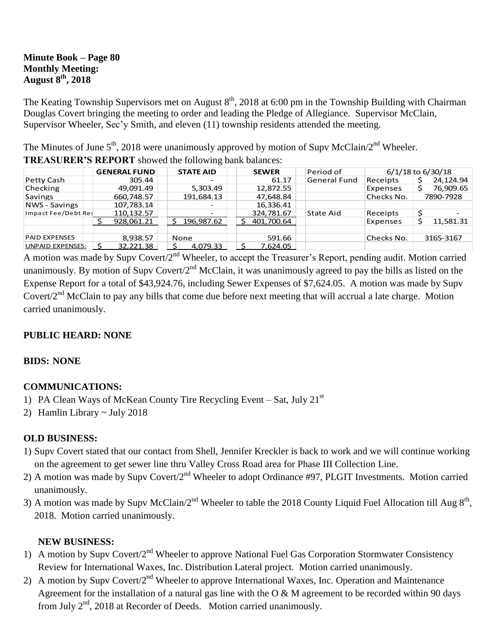### **Minute Book – Page 80 Monthly Meeting: August 8th, 2018**

The Keating Township Supervisors met on August  $8<sup>th</sup>$ , 2018 at 6:00 pm in the Township Building with Chairman Douglas Covert bringing the meeting to order and leading the Pledge of Allegiance. Supervisor McClain, Supervisor Wheeler, Sec'y Smith, and eleven (11) township residents attended the meeting.

The Minutes of June  $5<sup>th</sup>$ , 2018 were unanimously approved by motion of Supv McClain/2<sup>nd</sup> Wheeler. **TREASURER'S REPORT** showed the following bank balances:

| THERE CHEIN & RELEVANCE SHOW WAS TONG WHILE CANDIDATE |                     |                  |              |                     |                   |           |
|-------------------------------------------------------|---------------------|------------------|--------------|---------------------|-------------------|-----------|
|                                                       | <b>GENERAL FUND</b> | <b>STATE AID</b> | <b>SEWER</b> | Period of           | 6/1/18 to 6/30/18 |           |
| Petty Cash                                            | 305.44              |                  | 61.17        | <b>General Fund</b> | Receipts          | 24,124.94 |
| Checking                                              | 49,091.49           | 5,303.49         | 12,872.55    |                     | Expenses          | 76,909.65 |
| <b>Savings</b>                                        | 660,748.57          | 191,684.13       | 47,648.84    |                     | Checks No.        | 7890-7928 |
| NWS - Savings                                         | 107,783.14          |                  | 16,336.41    |                     |                   |           |
| Impact Fee/Debt Res                                   | 110,132.57          |                  | 324,781.67   | State Aid           | Receipts          |           |
|                                                       | 928,061.21          | 196,987.62       | 401,700.64   |                     | Expenses          | 11,581.31 |
|                                                       |                     |                  |              |                     |                   |           |
| <b>PAID EXPENSES</b>                                  | 8,938.57            | None             | 591.66       |                     | Checks No.        | 3165-3167 |
| <b>UNPAID EXPENSES:</b>                               | 32,221.38           | 4,079.33         | 7,624.05     |                     |                   |           |

A motion was made by Supv Covert/2<sup>nd</sup> Wheeler, to accept the Treasurer's Report, pending audit. Motion carried unanimously. By motion of Supv Covert/ $2<sup>nd</sup>$  McClain, it was unanimously agreed to pay the bills as listed on the Expense Report for a total of \$43,924.76, including Sewer Expenses of \$7,624.05. A motion was made by Supv Covert/2<sup>nd</sup> McClain to pay any bills that come due before next meeting that will accrual a late charge. Motion carried unanimously.

## **PUBLIC HEARD: NONE**

## **BIDS: NONE**

# **COMMUNICATIONS:**

- 1) PA Clean Ways of McKean County Tire Recycling Event Sat, July  $21<sup>st</sup>$
- 2) Hamlin Library ~ July 2018

## **OLD BUSINESS:**

- 1) Supv Covert stated that our contact from Shell, Jennifer Kreckler is back to work and we will continue working on the agreement to get sewer line thru Valley Cross Road area for Phase III Collection Line.
- 2) A motion was made by Supy Covert/2<sup>nd</sup> Wheeler to adopt Ordinance #97, PLGIT Investments. Motion carried unanimously.
- 3) A motion was made by Supv McClain/2<sup>nd</sup> Wheeler to table the 2018 County Liquid Fuel Allocation till Aug  $8<sup>th</sup>$ , 2018. Motion carried unanimously.

## **NEW BUSINESS:**

- 1) A motion by Supv Covert/2<sup>nd</sup> Wheeler to approve National Fuel Gas Corporation Stormwater Consistency Review for International Waxes, Inc. Distribution Lateral project. Motion carried unanimously.
- 2) A motion by Supv Covert/2<sup>nd</sup> Wheeler to approve International Waxes, Inc. Operation and Maintenance Agreement for the installation of a natural gas line with the O  $\&$  M agreement to be recorded within 90 days from July  $2^{nd}$ , 2018 at Recorder of Deeds. Motion carried unanimously.